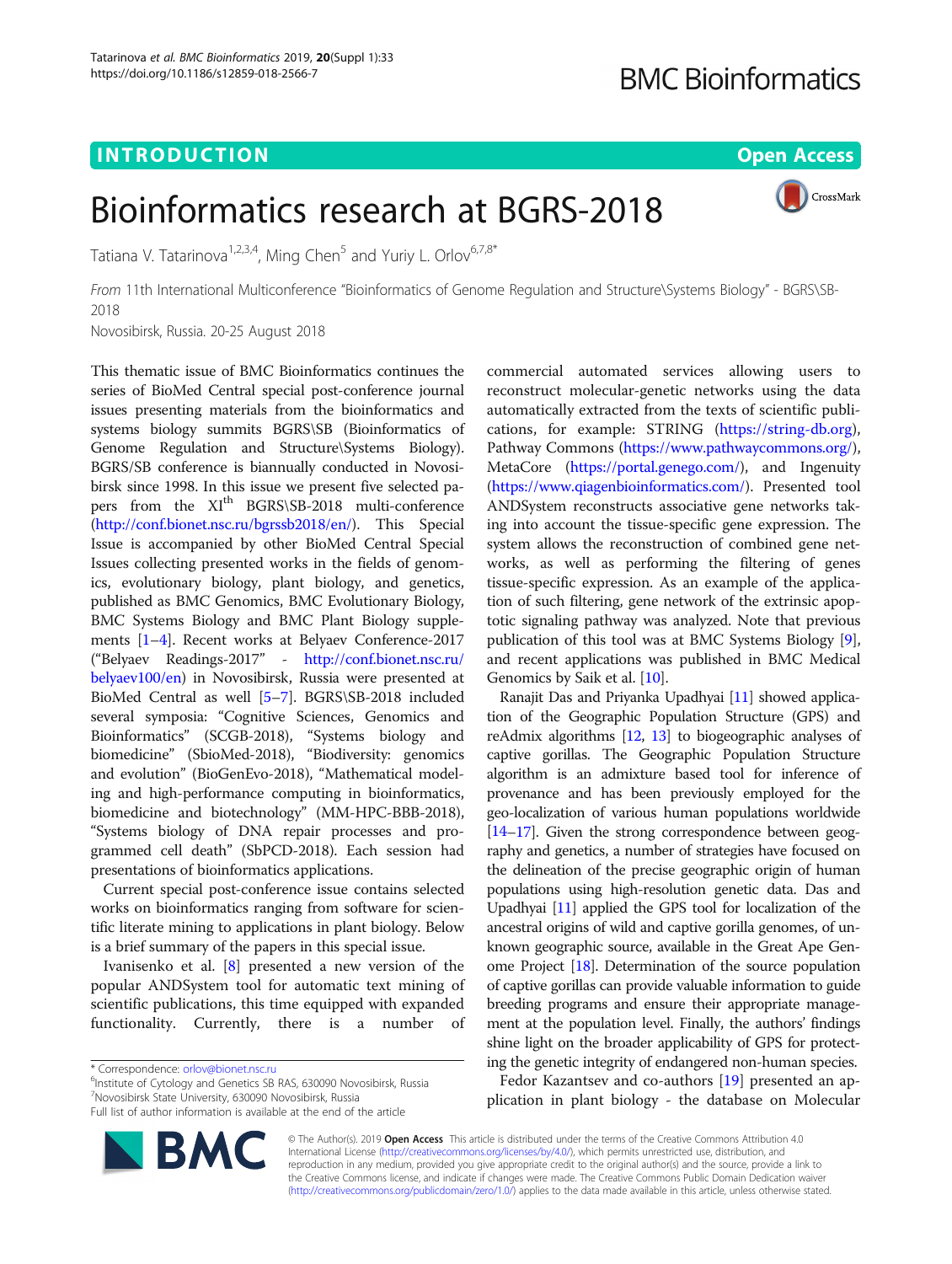CrossMark

# **INTRODUCTION CONSUMING THE OPEN ACCESS**

# Bioinformatics research at BGRS-2018

Tatiana V. Tatarinova<sup>1,2,3,4</sup>, Ming Chen<sup>5</sup> and Yuriy L. Orlov<sup>6,7,8\*</sup>

From 11th International Multiconference "Bioinformatics of Genome Regulation and Structure\Systems Biology" - BGRS\SB-2018

Novosibirsk, Russia. 20-25 August 2018

This thematic issue of BMC Bioinformatics continues the series of BioMed Central special post-conference journal issues presenting materials from the bioinformatics and systems biology summits BGRS\SB (Bioinformatics of Genome Regulation and Structure\Systems Biology). BGRS/SB conference is biannually conducted in Novosibirsk since 1998. In this issue we present five selected papers from the XI<sup>th</sup> BGRS\SB-2018 multi-conference (<http://conf.bionet.nsc.ru/bgrssb2018/en/>). This Special Issue is accompanied by other BioMed Central Special Issues collecting presented works in the fields of genomics, evolutionary biology, plant biology, and genetics, published as BMC Genomics, BMC Evolutionary Biology, BMC Systems Biology and BMC Plant Biology supplements [\[1](#page-2-0)–[4\]](#page-2-0). Recent works at Belyaev Conference-2017 ("Belyaev Readings-2017" - [http://conf.bionet.nsc.ru/](http://conf.bionet.nsc.ru/belyaev100/en) [belyaev100/en](http://conf.bionet.nsc.ru/belyaev100/en)) in Novosibirsk, Russia were presented at BioMed Central as well [\[5](#page-2-0)–[7](#page-2-0)]. BGRS\SB-2018 included several symposia: "Cognitive Sciences, Genomics and Bioinformatics" (SCGB-2018), "Systems biology and biomedicine" (SbioMed-2018), "Biodiversity: genomics and evolution" (BioGenEvo-2018), "Mathematical modeling and high-performance computing in bioinformatics, biomedicine and biotechnology" (MM-HPC-BBB-2018), "Systems biology of DNA repair processes and programmed cell death" (SbPCD-2018). Each session had presentations of bioinformatics applications.

Current special post-conference issue contains selected works on bioinformatics ranging from software for scientific literate mining to applications in plant biology. Below is a brief summary of the papers in this special issue.

Ivanisenko et al. [[8\]](#page-2-0) presented a new version of the popular ANDSystem tool for automatic text mining of scientific publications, this time equipped with expanded functionality. Currently, there is a number of

<sup>6</sup>Institute of Cytology and Genetics SB RAS, 630090 Novosibirsk, Russia 7 Novosibirsk State University, 630090 Novosibirsk, Russia

Full list of author information is available at the end of the article



commercial automated services allowing users to reconstruct molecular-genetic networks using the data automatically extracted from the texts of scientific publications, for example: STRING [\(https://string-db.org](https://string-db.org)), Pathway Commons [\(https://www.pathwaycommons.org/](https://www.pathwaycommons.org/)), MetaCore (<https://portal.genego.com/>), and Ingenuity (<https://www.qiagenbioinformatics.com/>). Presented tool ANDSystem reconstructs associative gene networks taking into account the tissue-specific gene expression. The system allows the reconstruction of combined gene networks, as well as performing the filtering of genes tissue-specific expression. As an example of the application of such filtering, gene network of the extrinsic apoptotic signaling pathway was analyzed. Note that previous publication of this tool was at BMC Systems Biology [[9](#page-2-0)], and recent applications was published in BMC Medical Genomics by Saik et al. [\[10](#page-2-0)].

Ranajit Das and Priyanka Upadhyai [\[11\]](#page-2-0) showed application of the Geographic Population Structure (GPS) and reAdmix algorithms [\[12](#page-2-0), [13\]](#page-2-0) to biogeographic analyses of captive gorillas. The Geographic Population Structure algorithm is an admixture based tool for inference of provenance and has been previously employed for the geo-localization of various human populations worldwide [[14](#page-2-0)–[17](#page-2-0)]. Given the strong correspondence between geography and genetics, a number of strategies have focused on the delineation of the precise geographic origin of human populations using high-resolution genetic data. Das and Upadhyai [\[11\]](#page-2-0) applied the GPS tool for localization of the ancestral origins of wild and captive gorilla genomes, of unknown geographic source, available in the Great Ape Genome Project [\[18](#page-2-0)]. Determination of the source population of captive gorillas can provide valuable information to guide breeding programs and ensure their appropriate management at the population level. Finally, the authors' findings shine light on the broader applicability of GPS for protecting the genetic integrity of endangered non-human species.

Fedor Kazantsev and co-authors [[19\]](#page-2-0) presented an application in plant biology - the database on Molecular

© The Author(s). 2019 Open Access This article is distributed under the terms of the Creative Commons Attribution 4.0 International License [\(http://creativecommons.org/licenses/by/4.0/](http://creativecommons.org/licenses/by/4.0/)), which permits unrestricted use, distribution, and reproduction in any medium, provided you give appropriate credit to the original author(s) and the source, provide a link to the Creative Commons license, and indicate if changes were made. The Creative Commons Public Domain Dedication waiver [\(http://creativecommons.org/publicdomain/zero/1.0/](http://creativecommons.org/publicdomain/zero/1.0/)) applies to the data made available in this article, unless otherwise stated.

<sup>\*</sup> Correspondence: [orlov@bionet.nsc.ru](mailto:orlov@bionet.nsc.ru) <sup>6</sup>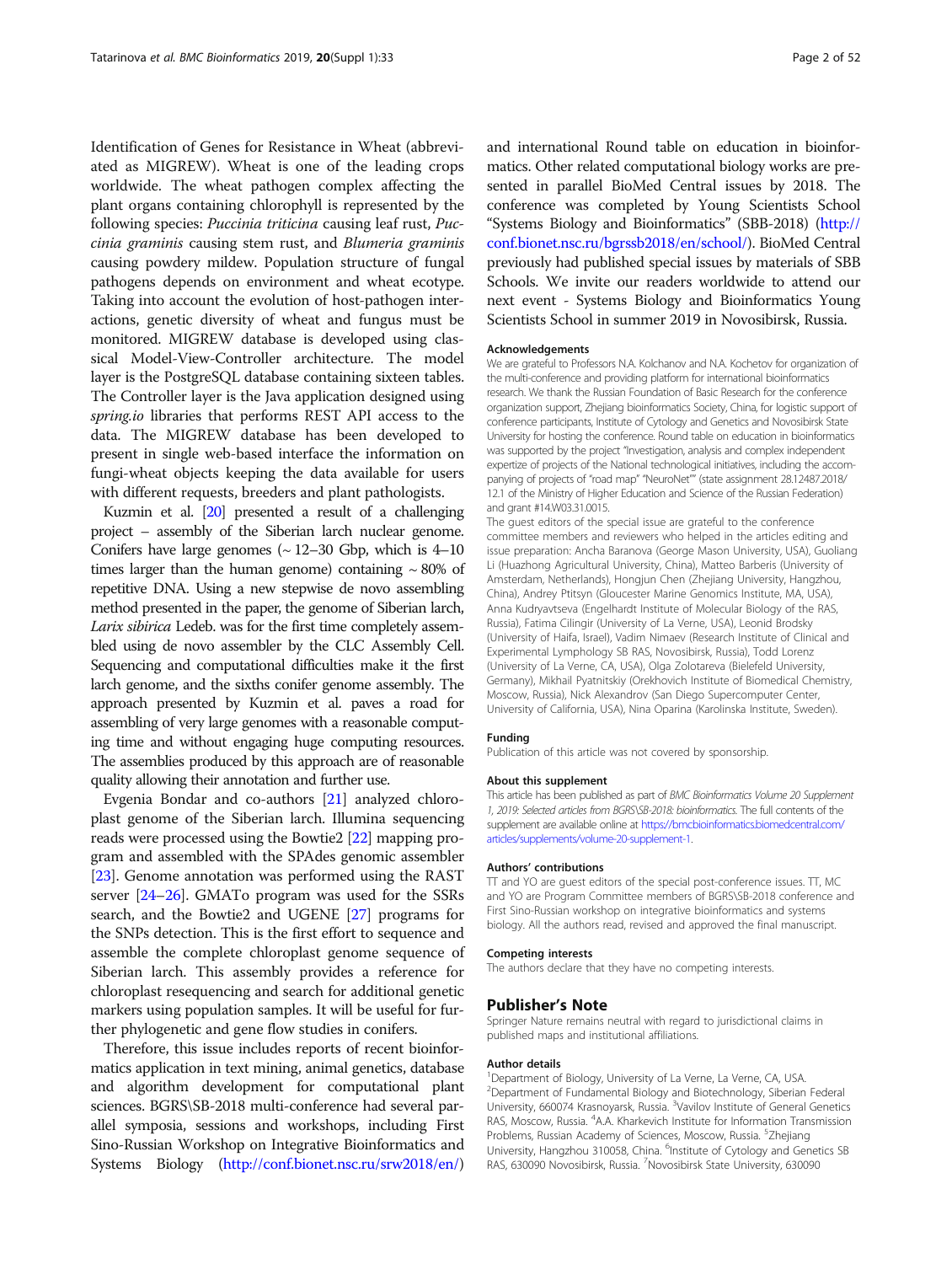Identification of Genes for Resistance in Wheat (abbreviated as MIGREW). Wheat is one of the leading crops worldwide. The wheat pathogen complex affecting the plant organs containing chlorophyll is represented by the following species: Puccinia triticina causing leaf rust, Puccinia graminis causing stem rust, and Blumeria graminis causing powdery mildew. Population structure of fungal pathogens depends on environment and wheat ecotype. Taking into account the evolution of host-pathogen interactions, genetic diversity of wheat and fungus must be monitored. MIGREW database is developed using classical Model-View-Controller architecture. The model layer is the PostgreSQL database containing sixteen tables. The Controller layer is the Java application designed using spring.io libraries that performs REST API access to the data. The MIGREW database has been developed to present in single web-based interface the information on fungi-wheat objects keeping the data available for users with different requests, breeders and plant pathologists.

Kuzmin et al. [\[20\]](#page-2-0) presented a result of a challenging project – assembly of the Siberian larch nuclear genome. Conifers have large genomes  $({\sim}\,12{-}30$  Gbp, which is 4-10 times larger than the human genome) containing  $\sim 80\%$  of repetitive DNA. Using a new stepwise de novo assembling method presented in the paper, the genome of Siberian larch, Larix sibirica Ledeb. was for the first time completely assembled using de novo assembler by the CLC Assembly Cell. Sequencing and computational difficulties make it the first larch genome, and the sixths conifer genome assembly. The approach presented by Kuzmin et al. paves a road for assembling of very large genomes with a reasonable computing time and without engaging huge computing resources. The assemblies produced by this approach are of reasonable quality allowing their annotation and further use.

Evgenia Bondar and co-authors [[21](#page-2-0)] analyzed chloroplast genome of the Siberian larch. Illumina sequencing reads were processed using the Bowtie2 [\[22](#page-2-0)] mapping program and assembled with the SPAdes genomic assembler [[23](#page-2-0)]. Genome annotation was performed using the RAST server [[24](#page-2-0)–[26\]](#page-2-0). GMATo program was used for the SSRs search, and the Bowtie2 and UGENE [[27](#page-2-0)] programs for the SNPs detection. This is the first effort to sequence and assemble the complete chloroplast genome sequence of Siberian larch. This assembly provides a reference for chloroplast resequencing and search for additional genetic markers using population samples. It will be useful for further phylogenetic and gene flow studies in conifers.

Therefore, this issue includes reports of recent bioinformatics application in text mining, animal genetics, database and algorithm development for computational plant sciences. BGRS\SB-2018 multi-conference had several parallel symposia, sessions and workshops, including First Sino-Russian Workshop on Integrative Bioinformatics and Systems Biology (<http://conf.bionet.nsc.ru/srw2018/en/>)

and international Round table on education in bioinformatics. Other related computational biology works are presented in parallel BioMed Central issues by 2018. The conference was completed by Young Scientists School "Systems Biology and Bioinformatics" (SBB-2018) [\(http://](http://conf.bionet.nsc.ru/bgrssb2018/en/school/) [conf.bionet.nsc.ru/bgrssb2018/en/school/\)](http://conf.bionet.nsc.ru/bgrssb2018/en/school/). BioMed Central previously had published special issues by materials of SBB Schools. We invite our readers worldwide to attend our next event - Systems Biology and Bioinformatics Young Scientists School in summer 2019 in Novosibirsk, Russia.

## Acknowledgements

We are grateful to Professors N.A. Kolchanov and N.A. Kochetov for organization of the multi-conference and providing platform for international bioinformatics research. We thank the Russian Foundation of Basic Research for the conference organization support, Zhejiang bioinformatics Society, China, for logistic support of conference participants, Institute of Cytology and Genetics and Novosibirsk State University for hosting the conference. Round table on education in bioinformatics was supported by the project "Investigation, analysis and complex independent expertize of projects of the National technological initiatives, including the accompanying of projects of "road map" "NeuroNet"" (state assignment 28.12487.2018/ 12.1 of the Ministry of Higher Education and Science of the Russian Federation) and grant #14.W03.31.0015.

The guest editors of the special issue are grateful to the conference committee members and reviewers who helped in the articles editing and issue preparation: Ancha Baranova (George Mason University, USA), Guoliang Li (Huazhong Agricultural University, China), Matteo Barberis (University of Amsterdam, Netherlands), Hongjun Chen (Zhejiang University, Hangzhou, China), Andrey Ptitsyn (Gloucester Marine Genomics Institute, MA, USA), Anna Kudryavtseva (Engelhardt Institute of Molecular Biology of the RAS, Russia), Fatima Cilingir (University of La Verne, USA), Leonid Brodsky (University of Haifa, Israel), Vadim Nimaev (Research Institute of Clinical and Experimental Lymрhology SB RAS, Novosibirsk, Russia), Todd Lorenz (University of La Verne, CA, USA), Olga Zolotareva (Bielefeld University, Germany), Mikhail Pyatnitskiy (Orekhovich Institute of Biomedical Chemistry, Moscow, Russia), Nick Alexandrov (San Diego Supercomputer Center, University of California, USA), Nina Oparina (Karolinska Institute, Sweden).

# Funding

Publication of this article was not covered by sponsorship.

#### About this supplement

This article has been published as part of BMC Bioinformatics Volume 20 Supplement 1, 2019: Selected articles from BGRS\SB-2018: bioinformatics. The full contents of the supplement are available online at [https://bmcbioinformatics.biomedcentral.com/](https://bmcbioinformatics.biomedcentral.com/articles/supplements/volume-20-supplement-1) [articles/supplements/volume-20-supplement-1](https://bmcbioinformatics.biomedcentral.com/articles/supplements/volume-20-supplement-1).

#### Authors' contributions

TT and YO are guest editors of the special post-conference issues. TT, MC and YO are Program Committee members of BGRS\SB-2018 conference and First Sino-Russian workshop on integrative bioinformatics and systems biology. All the authors read, revised and approved the final manuscript.

#### Competing interests

The authors declare that they have no competing interests.

# Publisher's Note

Springer Nature remains neutral with regard to jurisdictional claims in published maps and institutional affiliations.

### Author details

<sup>1</sup>Department of Biology, University of La Verne, La Verne, CA, USA. <sup>2</sup>Department of Fundamental Biology and Biotechnology, Siberian Federal University, 660074 Krasnoyarsk, Russia. <sup>3</sup>Vavilov Institute of General Genetics RAS, Moscow, Russia. <sup>4</sup>A.A. Kharkevich Institute for Information Transmission Problems, Russian Academy of Sciences, Moscow, Russia. <sup>5</sup>Zhejiang University, Hangzhou 310058, China. <sup>6</sup>Institute of Cytology and Genetics SB RAS, 630090 Novosibirsk, Russia. <sup>7</sup>Novosibirsk State University, 630090